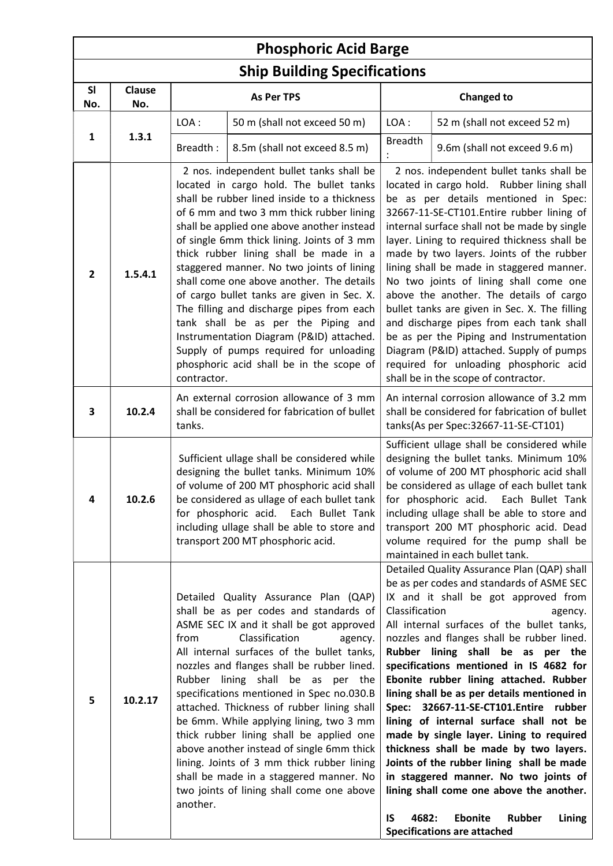| <b>Phosphoric Acid Barge</b>        |                      |                                                                                                                                                                                                                                                                                                                                                                                                                                                                                                                                                                                                                                                                                    |                                                                                                                                                                                                                                                                                                                                                                                                                                                                                                                                                                                                                                                                                                                               |                               |                                                                                                                                                                                                                                                                                                                                                                                                                                                                                                                                                                                                                                                                                                                                                                                                                 |  |  |  |
|-------------------------------------|----------------------|------------------------------------------------------------------------------------------------------------------------------------------------------------------------------------------------------------------------------------------------------------------------------------------------------------------------------------------------------------------------------------------------------------------------------------------------------------------------------------------------------------------------------------------------------------------------------------------------------------------------------------------------------------------------------------|-------------------------------------------------------------------------------------------------------------------------------------------------------------------------------------------------------------------------------------------------------------------------------------------------------------------------------------------------------------------------------------------------------------------------------------------------------------------------------------------------------------------------------------------------------------------------------------------------------------------------------------------------------------------------------------------------------------------------------|-------------------------------|-----------------------------------------------------------------------------------------------------------------------------------------------------------------------------------------------------------------------------------------------------------------------------------------------------------------------------------------------------------------------------------------------------------------------------------------------------------------------------------------------------------------------------------------------------------------------------------------------------------------------------------------------------------------------------------------------------------------------------------------------------------------------------------------------------------------|--|--|--|
| <b>Ship Building Specifications</b> |                      |                                                                                                                                                                                                                                                                                                                                                                                                                                                                                                                                                                                                                                                                                    |                                                                                                                                                                                                                                                                                                                                                                                                                                                                                                                                                                                                                                                                                                                               |                               |                                                                                                                                                                                                                                                                                                                                                                                                                                                                                                                                                                                                                                                                                                                                                                                                                 |  |  |  |
| <b>SI</b><br>No.                    | <b>Clause</b><br>No. |                                                                                                                                                                                                                                                                                                                                                                                                                                                                                                                                                                                                                                                                                    | <b>As Per TPS</b>                                                                                                                                                                                                                                                                                                                                                                                                                                                                                                                                                                                                                                                                                                             | <b>Changed to</b>             |                                                                                                                                                                                                                                                                                                                                                                                                                                                                                                                                                                                                                                                                                                                                                                                                                 |  |  |  |
|                                     |                      | LOA:                                                                                                                                                                                                                                                                                                                                                                                                                                                                                                                                                                                                                                                                               | 50 m (shall not exceed 50 m)                                                                                                                                                                                                                                                                                                                                                                                                                                                                                                                                                                                                                                                                                                  | LOA:                          | 52 m (shall not exceed 52 m)                                                                                                                                                                                                                                                                                                                                                                                                                                                                                                                                                                                                                                                                                                                                                                                    |  |  |  |
| 1                                   | 1.3.1                | Breadth:                                                                                                                                                                                                                                                                                                                                                                                                                                                                                                                                                                                                                                                                           | 8.5m (shall not exceed 8.5 m)                                                                                                                                                                                                                                                                                                                                                                                                                                                                                                                                                                                                                                                                                                 | <b>Breadth</b>                | 9.6m (shall not exceed 9.6 m)                                                                                                                                                                                                                                                                                                                                                                                                                                                                                                                                                                                                                                                                                                                                                                                   |  |  |  |
| $\mathbf{2}$                        | 1.5.4.1              | contractor.                                                                                                                                                                                                                                                                                                                                                                                                                                                                                                                                                                                                                                                                        | 2 nos. independent bullet tanks shall be<br>located in cargo hold. The bullet tanks<br>shall be rubber lined inside to a thickness<br>of 6 mm and two 3 mm thick rubber lining<br>shall be applied one above another instead<br>of single 6mm thick lining. Joints of 3 mm<br>thick rubber lining shall be made in a<br>staggered manner. No two joints of lining<br>shall come one above another. The details<br>of cargo bullet tanks are given in Sec. X.<br>The filling and discharge pipes from each<br>tank shall be as per the Piping and<br>Instrumentation Diagram (P&ID) attached.<br>Supply of pumps required for unloading<br>phosphoric acid shall be in the scope of<br>An external corrosion allowance of 3 mm |                               | 2 nos. independent bullet tanks shall be<br>located in cargo hold. Rubber lining shall<br>be as per details mentioned in Spec:<br>32667-11-SE-CT101.Entire rubber lining of<br>internal surface shall not be made by single<br>layer. Lining to required thickness shall be<br>made by two layers. Joints of the rubber<br>lining shall be made in staggered manner.<br>No two joints of lining shall come one<br>above the another. The details of cargo<br>bullet tanks are given in Sec. X. The filling<br>and discharge pipes from each tank shall<br>be as per the Piping and Instrumentation<br>Diagram (P&ID) attached. Supply of pumps<br>required for unloading phosphoric acid<br>shall be in the scope of contractor.<br>An internal corrosion allowance of 3.2 mm                                   |  |  |  |
| 3                                   | 10.2.4               | shall be considered for fabrication of bullet<br>tanks.                                                                                                                                                                                                                                                                                                                                                                                                                                                                                                                                                                                                                            |                                                                                                                                                                                                                                                                                                                                                                                                                                                                                                                                                                                                                                                                                                                               |                               | shall be considered for fabrication of bullet<br>tanks(As per Spec: 32667-11-SE-CT101)                                                                                                                                                                                                                                                                                                                                                                                                                                                                                                                                                                                                                                                                                                                          |  |  |  |
| 4                                   | 10.2.6               |                                                                                                                                                                                                                                                                                                                                                                                                                                                                                                                                                                                                                                                                                    | Sufficient ullage shall be considered while<br>designing the bullet tanks. Minimum 10%<br>of volume of 200 MT phosphoric acid shall<br>be considered as ullage of each bullet tank<br>for phosphoric acid. Each Bullet Tank<br>including ullage shall be able to store and<br>transport 200 MT phosphoric acid.                                                                                                                                                                                                                                                                                                                                                                                                               |                               | Sufficient ullage shall be considered while<br>designing the bullet tanks. Minimum 10%<br>of volume of 200 MT phosphoric acid shall<br>be considered as ullage of each bullet tank<br>for phosphoric acid. Each Bullet Tank<br>including ullage shall be able to store and<br>transport 200 MT phosphoric acid. Dead<br>volume required for the pump shall be<br>maintained in each bullet tank.                                                                                                                                                                                                                                                                                                                                                                                                                |  |  |  |
| 5                                   | 10.2.17              | Detailed Quality Assurance Plan (QAP)<br>shall be as per codes and standards of<br>ASME SEC IX and it shall be got approved<br>Classification<br>from<br>agency.<br>All internal surfaces of the bullet tanks,<br>nozzles and flanges shall be rubber lined.<br>Rubber lining shall be as per the<br>specifications mentioned in Spec no.030.B<br>attached. Thickness of rubber lining shall<br>be 6mm. While applying lining, two 3 mm<br>thick rubber lining shall be applied one<br>above another instead of single 6mm thick<br>lining. Joints of 3 mm thick rubber lining<br>shall be made in a staggered manner. No<br>two joints of lining shall come one above<br>another. |                                                                                                                                                                                                                                                                                                                                                                                                                                                                                                                                                                                                                                                                                                                               | Classification<br>4682:<br>IS | Detailed Quality Assurance Plan (QAP) shall<br>be as per codes and standards of ASME SEC<br>IX and it shall be got approved from<br>agency.<br>All internal surfaces of the bullet tanks,<br>nozzles and flanges shall be rubber lined.<br>Rubber lining shall be as per the<br>specifications mentioned in IS 4682 for<br>Ebonite rubber lining attached. Rubber<br>lining shall be as per details mentioned in<br>Spec: 32667-11-SE-CT101.Entire rubber<br>lining of internal surface shall not be<br>made by single layer. Lining to required<br>thickness shall be made by two layers.<br>Joints of the rubber lining shall be made<br>in staggered manner. No two joints of<br>lining shall come one above the another.<br><b>Rubber</b><br><b>Ebonite</b><br>Lining<br><b>Specifications are attached</b> |  |  |  |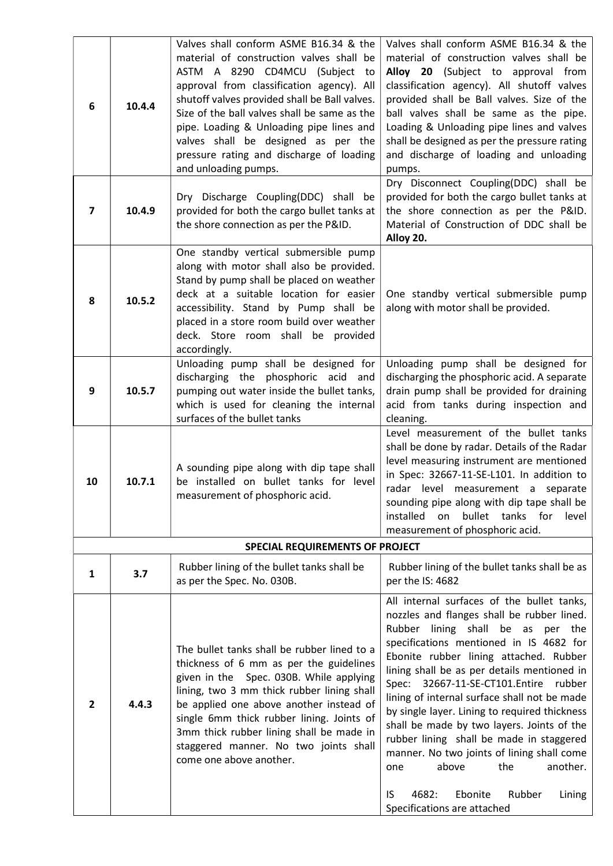| 6            | 10.4.4 | Valves shall conform ASME B16.34 & the<br>material of construction valves shall be<br>ASTM A 8290 CD4MCU (Subject to<br>approval from classification agency). All<br>shutoff valves provided shall be Ball valves.<br>Size of the ball valves shall be same as the<br>pipe. Loading & Unloading pipe lines and<br>valves shall be designed as per the<br>pressure rating and discharge of loading<br>and unloading pumps. | Valves shall conform ASME B16.34 & the<br>material of construction valves shall be<br>Alloy 20 (Subject to approval from<br>classification agency). All shutoff valves<br>provided shall be Ball valves. Size of the<br>ball valves shall be same as the pipe.<br>Loading & Unloading pipe lines and valves<br>shall be designed as per the pressure rating<br>and discharge of loading and unloading<br>pumps.                                                                                                                                                                                                                                                     |  |
|--------------|--------|---------------------------------------------------------------------------------------------------------------------------------------------------------------------------------------------------------------------------------------------------------------------------------------------------------------------------------------------------------------------------------------------------------------------------|---------------------------------------------------------------------------------------------------------------------------------------------------------------------------------------------------------------------------------------------------------------------------------------------------------------------------------------------------------------------------------------------------------------------------------------------------------------------------------------------------------------------------------------------------------------------------------------------------------------------------------------------------------------------|--|
| 7            | 10.4.9 | Dry Discharge Coupling(DDC) shall be<br>provided for both the cargo bullet tanks at<br>the shore connection as per the P&ID.                                                                                                                                                                                                                                                                                              | Dry Disconnect Coupling(DDC) shall be<br>provided for both the cargo bullet tanks at<br>the shore connection as per the P&ID.<br>Material of Construction of DDC shall be<br>Alloy 20.                                                                                                                                                                                                                                                                                                                                                                                                                                                                              |  |
| 8            | 10.5.2 | One standby vertical submersible pump<br>along with motor shall also be provided.<br>Stand by pump shall be placed on weather<br>deck at a suitable location for easier<br>accessibility. Stand by Pump shall be<br>placed in a store room build over weather<br>deck. Store room shall be provided<br>accordingly.                                                                                                       | One standby vertical submersible pump<br>along with motor shall be provided.                                                                                                                                                                                                                                                                                                                                                                                                                                                                                                                                                                                        |  |
| 9            | 10.5.7 | Unloading pump shall be designed for<br>discharging the phosphoric acid<br>and<br>pumping out water inside the bullet tanks,<br>which is used for cleaning the internal<br>surfaces of the bullet tanks                                                                                                                                                                                                                   | Unloading pump shall be designed for<br>discharging the phosphoric acid. A separate<br>drain pump shall be provided for draining<br>acid from tanks during inspection and<br>cleaning.                                                                                                                                                                                                                                                                                                                                                                                                                                                                              |  |
| 10           | 10.7.1 | A sounding pipe along with dip tape shall<br>be installed on bullet tanks for level<br>measurement of phosphoric acid.                                                                                                                                                                                                                                                                                                    | Level measurement of the bullet tanks<br>shall be done by radar. Details of the Radar<br>level measuring instrument are mentioned<br>in Spec: 32667-11-SE-L101. In addition to<br>radar level measurement a separate<br>sounding pipe along with dip tape shall be<br>installed<br>tanks for<br>bullet<br>level<br>on<br>measurement of phosphoric acid.                                                                                                                                                                                                                                                                                                            |  |
|              |        | <b>SPECIAL REQUIREMENTS OF PROJECT</b>                                                                                                                                                                                                                                                                                                                                                                                    |                                                                                                                                                                                                                                                                                                                                                                                                                                                                                                                                                                                                                                                                     |  |
| 1            | 3.7    | Rubber lining of the bullet tanks shall be<br>as per the Spec. No. 030B.                                                                                                                                                                                                                                                                                                                                                  | Rubber lining of the bullet tanks shall be as<br>per the IS: 4682                                                                                                                                                                                                                                                                                                                                                                                                                                                                                                                                                                                                   |  |
| $\mathbf{2}$ | 4.4.3  | The bullet tanks shall be rubber lined to a<br>thickness of 6 mm as per the guidelines<br>given in the Spec. 030B. While applying<br>lining, two 3 mm thick rubber lining shall<br>be applied one above another instead of<br>single 6mm thick rubber lining. Joints of<br>3mm thick rubber lining shall be made in<br>staggered manner. No two joints shall<br>come one above another.                                   | All internal surfaces of the bullet tanks,<br>nozzles and flanges shall be rubber lined.<br>Rubber lining shall be as per the<br>specifications mentioned in IS 4682 for<br>Ebonite rubber lining attached. Rubber<br>lining shall be as per details mentioned in<br>Spec: 32667-11-SE-CT101.Entire rubber<br>lining of internal surface shall not be made<br>by single layer. Lining to required thickness<br>shall be made by two layers. Joints of the<br>rubber lining shall be made in staggered<br>manner. No two joints of lining shall come<br>above<br>the<br>another.<br>one<br>4682:<br>Ebonite<br>Rubber<br>IS<br>Lining<br>Specifications are attached |  |